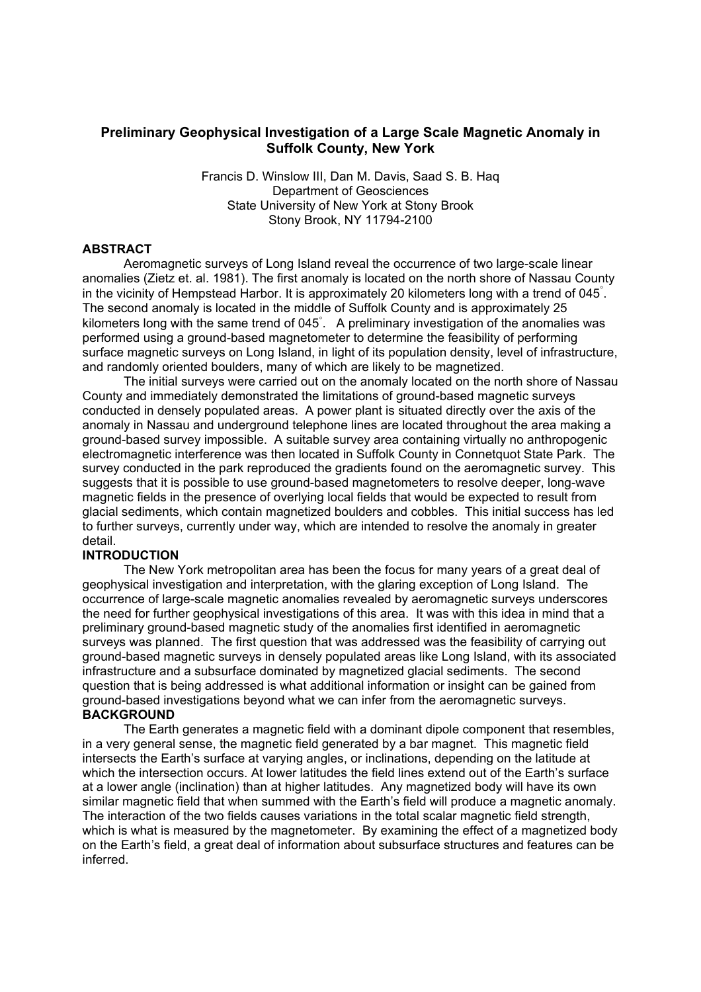# **Preliminary Geophysical Investigation of a Large Scale Magnetic Anomaly in Suffolk County, New York**

Francis D. Winslow III, Dan M. Davis, Saad S. B. Haq Department of Geosciences State University of New York at Stony Brook Stony Brook, NY 11794-2100

## **ABSTRACT**

Aeromagnetic surveys of Long Island reveal the occurrence of two large-scale linear anomalies (Zietz et. al. 1981). The first anomaly is located on the north shore of Nassau County in the vicinity of Hempstead Harbor. It is approximately 20 kilometers long with a trend of 045°. The second anomaly is located in the middle of Suffolk County and is approximately 25 kilometers long with the same trend of 045° . A preliminary investigation of the anomalies was performed using a ground-based magnetometer to determine the feasibility of performing surface magnetic surveys on Long Island, in light of its population density, level of infrastructure, and randomly oriented boulders, many of which are likely to be magnetized.

 The initial surveys were carried out on the anomaly located on the north shore of Nassau County and immediately demonstrated the limitations of ground-based magnetic surveys conducted in densely populated areas. A power plant is situated directly over the axis of the anomaly in Nassau and underground telephone lines are located throughout the area making a ground-based survey impossible. A suitable survey area containing virtually no anthropogenic electromagnetic interference was then located in Suffolk County in Connetquot State Park. The survey conducted in the park reproduced the gradients found on the aeromagnetic survey. This suggests that it is possible to use ground-based magnetometers to resolve deeper, long-wave magnetic fields in the presence of overlying local fields that would be expected to result from glacial sediments, which contain magnetized boulders and cobbles. This initial success has led to further surveys, currently under way, which are intended to resolve the anomaly in greater detail.

#### **INTRODUCTION**

The New York metropolitan area has been the focus for many years of a great deal of geophysical investigation and interpretation, with the glaring exception of Long Island. The occurrence of large-scale magnetic anomalies revealed by aeromagnetic surveys underscores the need for further geophysical investigations of this area. It was with this idea in mind that a preliminary ground-based magnetic study of the anomalies first identified in aeromagnetic surveys was planned. The first question that was addressed was the feasibility of carrying out ground-based magnetic surveys in densely populated areas like Long Island, with its associated infrastructure and a subsurface dominated by magnetized glacial sediments. The second question that is being addressed is what additional information or insight can be gained from ground-based investigations beyond what we can infer from the aeromagnetic surveys. **BACKGROUND** 

The Earth generates a magnetic field with a dominant dipole component that resembles, in a very general sense, the magnetic field generated by a bar magnet. This magnetic field intersects the Earth's surface at varying angles, or inclinations, depending on the latitude at which the intersection occurs. At lower latitudes the field lines extend out of the Earth's surface at a lower angle (inclination) than at higher latitudes. Any magnetized body will have its own similar magnetic field that when summed with the Earth's field will produce a magnetic anomaly. The interaction of the two fields causes variations in the total scalar magnetic field strength, which is what is measured by the magnetometer. By examining the effect of a magnetized body on the Earth's field, a great deal of information about subsurface structures and features can be inferred.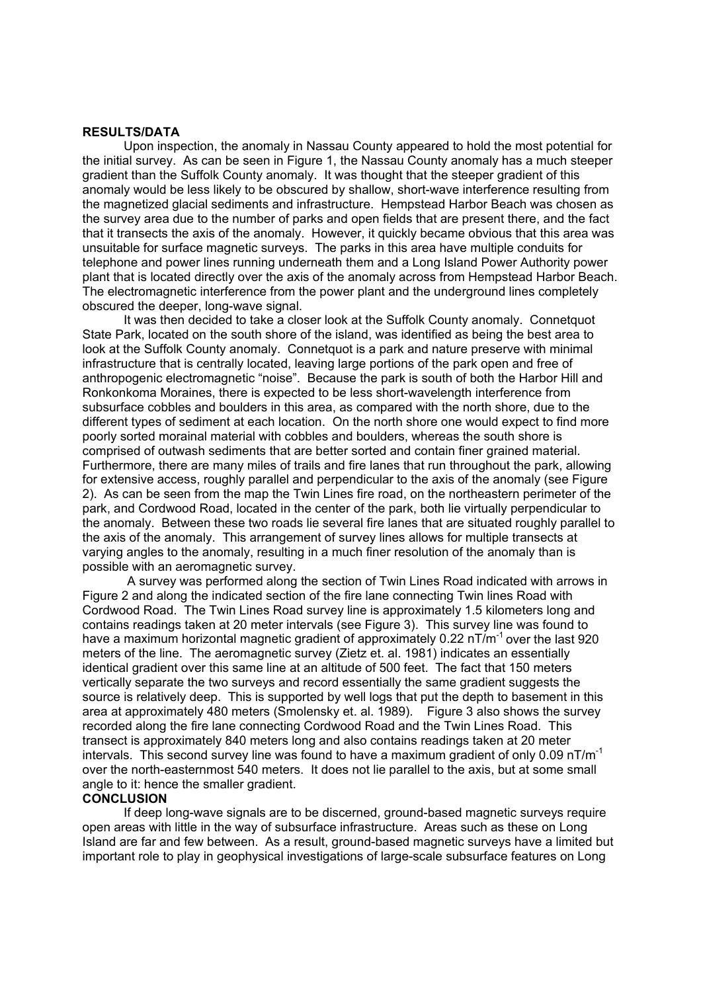#### **RESULTS/DATA**

Upon inspection, the anomaly in Nassau County appeared to hold the most potential for the initial survey. As can be seen in Figure 1, the Nassau County anomaly has a much steeper gradient than the Suffolk County anomaly. It was thought that the steeper gradient of this anomaly would be less likely to be obscured by shallow, short-wave interference resulting from the magnetized glacial sediments and infrastructure. Hempstead Harbor Beach was chosen as the survey area due to the number of parks and open fields that are present there, and the fact that it transects the axis of the anomaly. However, it quickly became obvious that this area was unsuitable for surface magnetic surveys. The parks in this area have multiple conduits for telephone and power lines running underneath them and a Long Island Power Authority power plant that is located directly over the axis of the anomaly across from Hempstead Harbor Beach. The electromagnetic interference from the power plant and the underground lines completely obscured the deeper, long-wave signal.

 It was then decided to take a closer look at the Suffolk County anomaly. Connetquot State Park, located on the south shore of the island, was identified as being the best area to look at the Suffolk County anomaly. Connetquot is a park and nature preserve with minimal infrastructure that is centrally located, leaving large portions of the park open and free of anthropogenic electromagnetic "noise". Because the park is south of both the Harbor Hill and Ronkonkoma Moraines, there is expected to be less short-wavelength interference from subsurface cobbles and boulders in this area, as compared with the north shore, due to the different types of sediment at each location. On the north shore one would expect to find more poorly sorted morainal material with cobbles and boulders, whereas the south shore is comprised of outwash sediments that are better sorted and contain finer grained material. Furthermore, there are many miles of trails and fire lanes that run throughout the park, allowing for extensive access, roughly parallel and perpendicular to the axis of the anomaly (see Figure 2). As can be seen from the map the Twin Lines fire road, on the northeastern perimeter of the park, and Cordwood Road, located in the center of the park, both lie virtually perpendicular to the anomaly. Between these two roads lie several fire lanes that are situated roughly parallel to the axis of the anomaly. This arrangement of survey lines allows for multiple transects at varying angles to the anomaly, resulting in a much finer resolution of the anomaly than is possible with an aeromagnetic survey.

 A survey was performed along the section of Twin Lines Road indicated with arrows in Figure 2 and along the indicated section of the fire lane connecting Twin lines Road with Cordwood Road. The Twin Lines Road survey line is approximately 1.5 kilometers long and contains readings taken at 20 meter intervals (see Figure 3). This survey line was found to have a maximum horizontal magnetic gradient of approximately 0.22  $nT/m^{-1}$  over the last 920 meters of the line. The aeromagnetic survey (Zietz et. al. 1981) indicates an essentially identical gradient over this same line at an altitude of 500 feet. The fact that 150 meters vertically separate the two surveys and record essentially the same gradient suggests the source is relatively deep. This is supported by well logs that put the depth to basement in this area at approximately 480 meters (Smolensky et. al. 1989). Figure 3 also shows the survey recorded along the fire lane connecting Cordwood Road and the Twin Lines Road. This transect is approximately 840 meters long and also contains readings taken at 20 meter intervals. This second survey line was found to have a maximum gradient of only 0.09  $nT/m^{-1}$ over the north-easternmost 540 meters. It does not lie parallel to the axis, but at some small angle to it: hence the smaller gradient.

### **CONCLUSION**

If deep long-wave signals are to be discerned, ground-based magnetic surveys require open areas with little in the way of subsurface infrastructure. Areas such as these on Long Island are far and few between. As a result, ground-based magnetic surveys have a limited but important role to play in geophysical investigations of large-scale subsurface features on Long